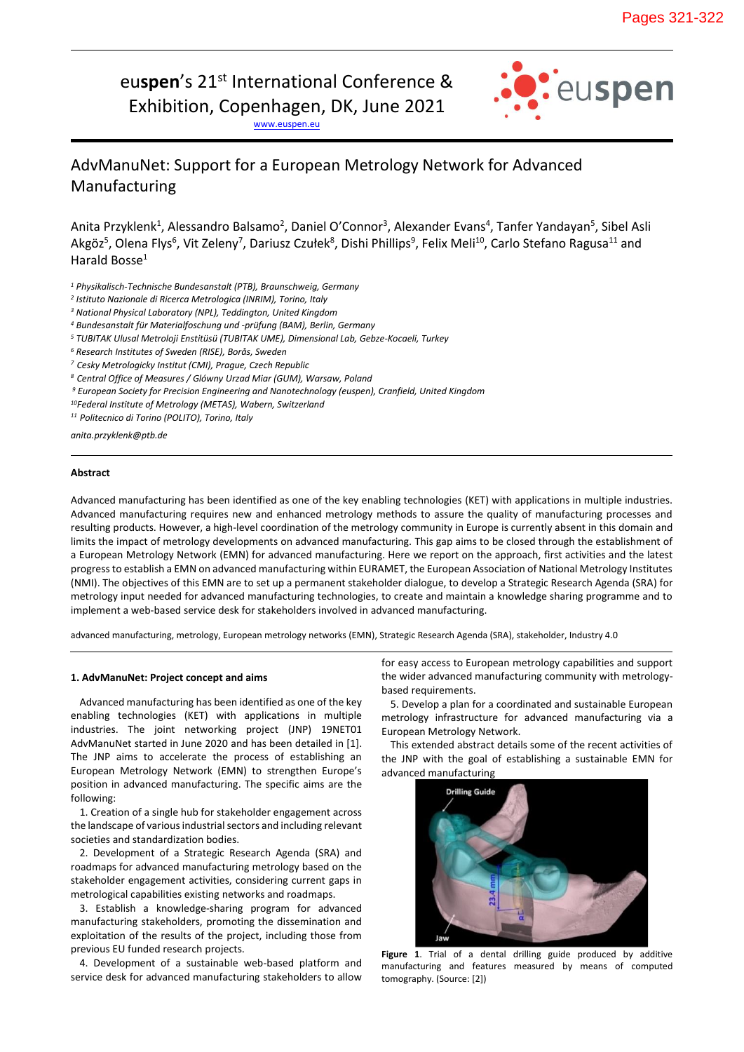eu**spen**'s 21st International Conference &

Exhibition, Copenhagen, DK, June 2021

[www.euspen.eu](http://www.euspen.eu/)



# AdvManuNet: Support for a European Metrology Network for Advanced Manufacturing

Anita Przyklenk<sup>1</sup>, Alessandro Balsamo<sup>2</sup>, Daniel O'Connor<sup>3</sup>, Alexander Evans<sup>4</sup>, Tanfer Yandayan<sup>5</sup>, Sibel Asli Akgöz<sup>5</sup>, Olena Flys<sup>6</sup>, Vit Zeleny<sup>7</sup>, Dariusz Czułek<sup>8</sup>, Dishi Phillips<sup>9</sup>, Felix Meli<sup>10</sup>, Carlo Stefano Ragusa<sup>11</sup> and Harald Bosse<sup>1</sup>

*<sup>1</sup> Physikalisch-Technische Bundesanstalt (PTB), Braunschweig, Germany* 

*2 Istituto Nazionale di Ricerca Metrologica (INRIM), Torino, Italy* 

*<sup>3</sup> National Physical Laboratory (NPL), Teddington, United Kingdom* 

*<sup>4</sup> Bundesanstalt für Materialfoschung und -prüfung (BAM), Berlin, Germany*

*<sup>5</sup> TUBITAK Ulusal Metroloji Enstitüsü (TUBITAK UME), Dimensional Lab, Gebze-Kocaeli, Turkey*

*<sup>6</sup> Research Institutes of Sweden (RISE), Borås, Sweden*

*<sup>7</sup> Cesky Metrologicky Institut (CMI), Prague, Czech Republic*

*<sup>8</sup> Central Office of Measures / Glówny Urzad Miar (GUM), Warsaw, Poland*

*<sup>9</sup> European Society for Precision Engineering and Nanotechnology (euspen), Cranfield, United Kingdom*

*<sup>10</sup>Federal Institute of Metrology (METAS), Wabern, Switzerland*

*<sup>11</sup> Politecnico di Torino (POLITO), Torino, Italy*

*anita.przyklenk@ptb.de*

## **Abstract**

Advanced manufacturing has been identified as one of the key enabling technologies (KET) with applications in multiple industries. Advanced manufacturing requires new and enhanced metrology methods to assure the quality of manufacturing processes and resulting products. However, a high-level coordination of the metrology community in Europe is currently absent in this domain and limits the impact of metrology developments on advanced manufacturing. This gap aims to be closed through the establishment of a European Metrology Network (EMN) for advanced manufacturing. Here we report on the approach, first activities and the latest progressto establish a EMN on advanced manufacturing within EURAMET, the European Association of National Metrology Institutes (NMI). The objectives of this EMN are to set up a permanent stakeholder dialogue, to develop a Strategic Research Agenda (SRA) for metrology input needed for advanced manufacturing technologies, to create and maintain a knowledge sharing programme and to implement a web-based service desk for stakeholders involved in advanced manufacturing.

advanced manufacturing, metrology, European metrology networks (EMN), Strategic Research Agenda (SRA), stakeholder, Industry 4.0

## **1. AdvManuNet: Project concept and aims**

Advanced manufacturing has been identified as one of the key enabling technologies (KET) with applications in multiple industries. The joint networking project (JNP) 19NET01 AdvManuNet started in June 2020 and has been detailed in [1]. The JNP aims to accelerate the process of establishing an European Metrology Network (EMN) to strengthen Europe's position in advanced manufacturing. The specific aims are the following:

1. Creation of a single hub for stakeholder engagement across the landscape of various industrial sectors and including relevant societies and standardization bodies.

2. Development of a Strategic Research Agenda (SRA) and roadmaps for advanced manufacturing metrology based on the stakeholder engagement activities, considering current gaps in metrological capabilities existing networks and roadmaps.

3. Establish a knowledge-sharing program for advanced manufacturing stakeholders, promoting the dissemination and exploitation of the results of the project, including those from previous EU funded research projects.

4. Development of a sustainable web-based platform and service desk for advanced manufacturing stakeholders to allow

for easy access to European metrology capabilities and support the wider advanced manufacturing community with metrologybased requirements.

5. Develop a plan for a coordinated and sustainable European metrology infrastructure for advanced manufacturing via a European Metrology Network.

This extended abstract details some of the recent activities of the JNP with the goal of establishing a sustainable EMN for advanced manufacturing



**Figure 1**. Trial of a dental drilling guide produced by additive manufacturing and features measured by means of computed tomography. (Source: [2])